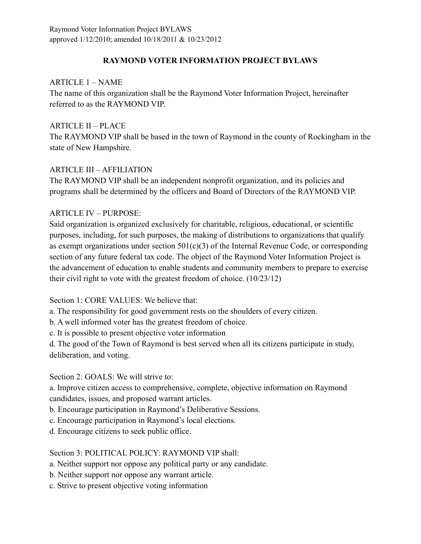# **RAYMOND VOTER INFORMATION PROJECT BYLAWS**

# ARTICLE 1 – NAME

The name of this organization shall be the Raymond Voter Information Project, hereinafter referred to as the RAYMOND VIP.

# ARTICLE II – PLACE

The RAYMOND VIP shall be based in the town of Raymond in the county of Rockingham in the state of New Hampshire.

# ARTICLE III – AFFILIATION

The RAYMOND VIP shall be an independent nonprofit organization, and its policies and programs shall be determined by the officers and Board of Directors of the RAYMOND VIP.

# ARTICLE IV – PURPOSE:

Said organization is organized exclusively for charitable, religious, educational, or scientific purposes, including, for such purposes, the making of distributions to organizations that qualify as exempt organizations under section  $501(c)(3)$  of the Internal Revenue Code, or corresponding section of any future federal tax code. The object of the Raymond Voter Information Project is the advancement of education to enable students and community members to prepare to exercise their civil right to vote with the greatest freedom of choice. (10/23/12)

Section 1: CORE VALUES: We believe that:

a. The responsibility for good government rests on the shoulders of every citizen.

b. A well informed voter has the greatest freedom of choice.

c. It is possible to present objective voter information

d. The good of the Town of Raymond is best served when all its citizens participate in study, deliberation, and voting.

## Section 2: GOALS: We will strive to:

a. Improve citizen access to comprehensive, complete, objective information on Raymond candidates, issues, and proposed warrant articles.

b. Encourage participation in Raymond's Deliberative Sessions.

- c. Encourage participation in Raymond's local elections.
- d. Encourage citizens to seek public office.

Section 3: POLITICAL POLICY: RAYMOND VIP shall:

- a. Neither support nor oppose any political party or any candidate.
- b. Neither support nor oppose any warrant article.
- c. Strive to present objective voting information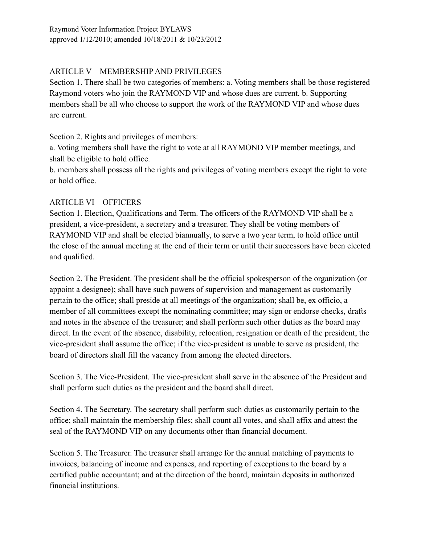Raymond Voter Information Project BYLAWS approved 1/12/2010; amended 10/18/2011 & 10/23/2012

# ARTICLE V – MEMBERSHIP AND PRIVILEGES

Section 1. There shall be two categories of members: a. Voting members shall be those registered Raymond voters who join the RAYMOND VIP and whose dues are current. b. Supporting members shall be all who choose to support the work of the RAYMOND VIP and whose dues are current.

Section 2. Rights and privileges of members:

a. Voting members shall have the right to vote at all RAYMOND VIP member meetings, and shall be eligible to hold office.

b. members shall possess all the rights and privileges of voting members except the right to vote or hold office.

# ARTICLE VI – OFFICERS

Section 1. Election, Qualifications and Term. The officers of the RAYMOND VIP shall be a president, a vice-president, a secretary and a treasurer. They shall be voting members of RAYMOND VIP and shall be elected biannually, to serve a two year term, to hold office until the close of the annual meeting at the end of their term or until their successors have been elected and qualified.

Section 2. The President. The president shall be the official spokesperson of the organization (or appoint a designee); shall have such powers of supervision and management as customarily pertain to the office; shall preside at all meetings of the organization; shall be, ex officio, a member of all committees except the nominating committee; may sign or endorse checks, drafts and notes in the absence of the treasurer; and shall perform such other duties as the board may direct. In the event of the absence, disability, relocation, resignation or death of the president, the vice-president shall assume the office; if the vice-president is unable to serve as president, the board of directors shall fill the vacancy from among the elected directors.

Section 3. The Vice-President. The vice-president shall serve in the absence of the President and shall perform such duties as the president and the board shall direct.

Section 4. The Secretary. The secretary shall perform such duties as customarily pertain to the office; shall maintain the membership files; shall count all votes, and shall affix and attest the seal of the RAYMOND VIP on any documents other than financial document.

Section 5. The Treasurer. The treasurer shall arrange for the annual matching of payments to invoices, balancing of income and expenses, and reporting of exceptions to the board by a certified public accountant; and at the direction of the board, maintain deposits in authorized financial institutions.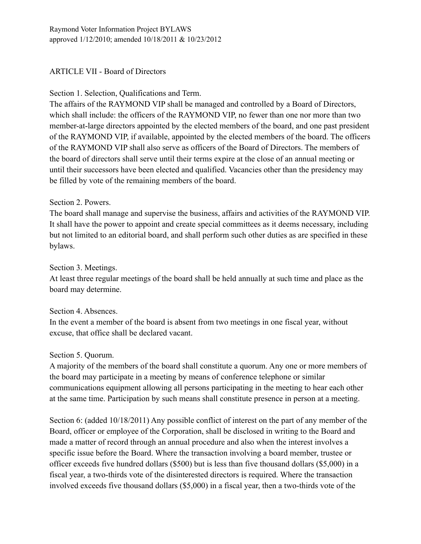# ARTICLE VII - Board of Directors

#### Section 1. Selection, Qualifications and Term.

The affairs of the RAYMOND VIP shall be managed and controlled by a Board of Directors, which shall include: the officers of the RAYMOND VIP, no fewer than one nor more than two member-at-large directors appointed by the elected members of the board, and one past president of the RAYMOND VIP, if available, appointed by the elected members of the board. The officers of the RAYMOND VIP shall also serve as officers of the Board of Directors. The members of the board of directors shall serve until their terms expire at the close of an annual meeting or until their successors have been elected and qualified. Vacancies other than the presidency may be filled by vote of the remaining members of the board.

#### Section 2. Powers.

The board shall manage and supervise the business, affairs and activities of the RAYMOND VIP. It shall have the power to appoint and create special committees as it deems necessary, including but not limited to an editorial board, and shall perform such other duties as are specified in these bylaws.

#### Section 3. Meetings.

At least three regular meetings of the board shall be held annually at such time and place as the board may determine.

#### Section 4. Absences.

In the event a member of the board is absent from two meetings in one fiscal year, without excuse, that office shall be declared vacant.

#### Section 5. Quorum.

A majority of the members of the board shall constitute a quorum. Any one or more members of the board may participate in a meeting by means of conference telephone or similar communications equipment allowing all persons participating in the meeting to hear each other at the same time. Participation by such means shall constitute presence in person at a meeting.

Section 6: (added 10/18/2011) Any possible conflict of interest on the part of any member of the Board, officer or employee of the Corporation, shall be disclosed in writing to the Board and made a matter of record through an annual procedure and also when the interest involves a specific issue before the Board. Where the transaction involving a board member, trustee or officer exceeds five hundred dollars (\$500) but is less than five thousand dollars (\$5,000) in a fiscal year, a two-thirds vote of the disinterested directors is required. Where the transaction involved exceeds five thousand dollars (\$5,000) in a fiscal year, then a two-thirds vote of the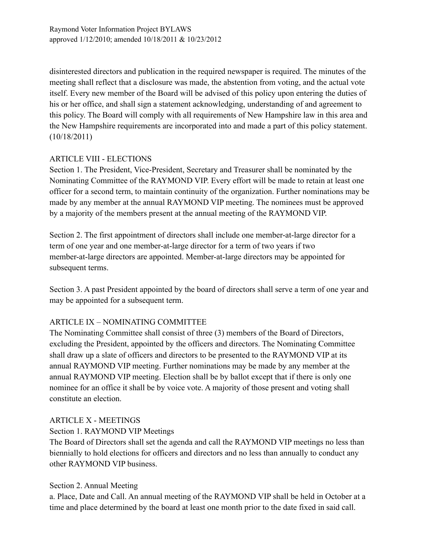disinterested directors and publication in the required newspaper is required. The minutes of the meeting shall reflect that a disclosure was made, the abstention from voting, and the actual vote itself. Every new member of the Board will be advised of this policy upon entering the duties of his or her office, and shall sign a statement acknowledging, understanding of and agreement to this policy. The Board will comply with all requirements of New Hampshire law in this area and the New Hampshire requirements are incorporated into and made a part of this policy statement. (10/18/2011)

# ARTICLE VIII - ELECTIONS

Section 1. The President, Vice-President, Secretary and Treasurer shall be nominated by the Nominating Committee of the RAYMOND VIP. Every effort will be made to retain at least one officer for a second term, to maintain continuity of the organization. Further nominations may be made by any member at the annual RAYMOND VIP meeting. The nominees must be approved by a majority of the members present at the annual meeting of the RAYMOND VIP.

Section 2. The first appointment of directors shall include one member-at-large director for a term of one year and one member-at-large director for a term of two years if two member-at-large directors are appointed. Member-at-large directors may be appointed for subsequent terms.

Section 3. A past President appointed by the board of directors shall serve a term of one year and may be appointed for a subsequent term.

# ARTICLE IX – NOMINATING COMMITTEE

The Nominating Committee shall consist of three (3) members of the Board of Directors, excluding the President, appointed by the officers and directors. The Nominating Committee shall draw up a slate of officers and directors to be presented to the RAYMOND VIP at its annual RAYMOND VIP meeting. Further nominations may be made by any member at the annual RAYMOND VIP meeting. Election shall be by ballot except that if there is only one nominee for an office it shall be by voice vote. A majority of those present and voting shall constitute an election.

## ARTICLE X - MEETINGS

## Section 1. RAYMOND VIP Meetings

The Board of Directors shall set the agenda and call the RAYMOND VIP meetings no less than biennially to hold elections for officers and directors and no less than annually to conduct any other RAYMOND VIP business.

## Section 2. Annual Meeting

a. Place, Date and Call. An annual meeting of the RAYMOND VIP shall be held in October at a time and place determined by the board at least one month prior to the date fixed in said call.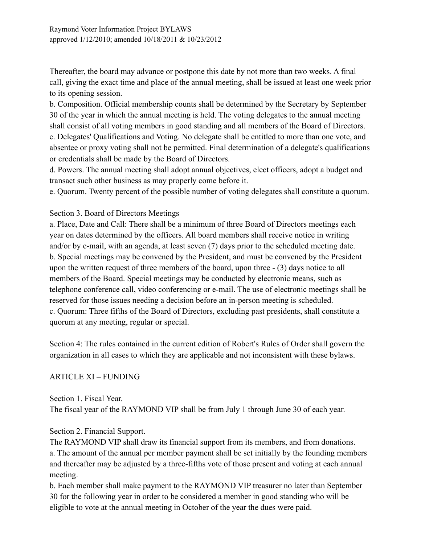Thereafter, the board may advance or postpone this date by not more than two weeks. A final call, giving the exact time and place of the annual meeting, shall be issued at least one week prior to its opening session.

b. Composition. Official membership counts shall be determined by the Secretary by September 30 of the year in which the annual meeting is held. The voting delegates to the annual meeting shall consist of all voting members in good standing and all members of the Board of Directors. c. Delegates' Qualifications and Voting. No delegate shall be entitled to more than one vote, and absentee or proxy voting shall not be permitted. Final determination of a delegate's qualifications or credentials shall be made by the Board of Directors.

d. Powers. The annual meeting shall adopt annual objectives, elect officers, adopt a budget and transact such other business as may properly come before it.

e. Quorum. Twenty percent of the possible number of voting delegates shall constitute a quorum.

#### Section 3. Board of Directors Meetings

a. Place, Date and Call: There shall be a minimum of three Board of Directors meetings each year on dates determined by the officers. All board members shall receive notice in writing and/or by e-mail, with an agenda, at least seven (7) days prior to the scheduled meeting date. b. Special meetings may be convened by the President, and must be convened by the President upon the written request of three members of the board, upon three - (3) days notice to all members of the Board. Special meetings may be conducted by electronic means, such as telephone conference call, video conferencing or e-mail. The use of electronic meetings shall be reserved for those issues needing a decision before an in-person meeting is scheduled. c. Quorum: Three fifths of the Board of Directors, excluding past presidents, shall constitute a quorum at any meeting, regular or special.

Section 4: The rules contained in the current edition of Robert's Rules of Order shall govern the organization in all cases to which they are applicable and not inconsistent with these bylaws.

## ARTICLE XI – FUNDING

Section 1. Fiscal Year. The fiscal year of the RAYMOND VIP shall be from July 1 through June 30 of each year.

Section 2. Financial Support.

The RAYMOND VIP shall draw its financial support from its members, and from donations. a. The amount of the annual per member payment shall be set initially by the founding members and thereafter may be adjusted by a three-fifths vote of those present and voting at each annual meeting.

b. Each member shall make payment to the RAYMOND VIP treasurer no later than September 30 for the following year in order to be considered a member in good standing who will be eligible to vote at the annual meeting in October of the year the dues were paid.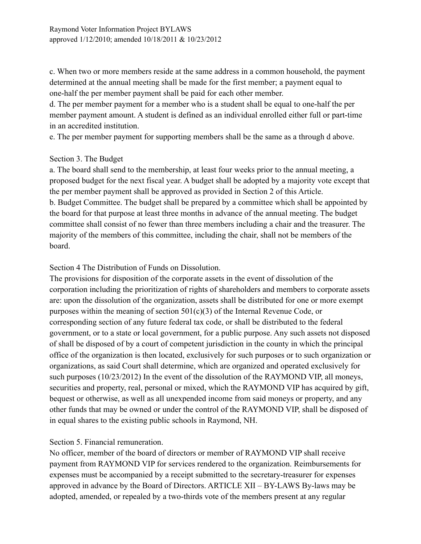c. When two or more members reside at the same address in a common household, the payment determined at the annual meeting shall be made for the first member; a payment equal to one-half the per member payment shall be paid for each other member.

d. The per member payment for a member who is a student shall be equal to one-half the per member payment amount. A student is defined as an individual enrolled either full or part-time in an accredited institution.

e. The per member payment for supporting members shall be the same as a through d above.

#### Section 3. The Budget

a. The board shall send to the membership, at least four weeks prior to the annual meeting, a proposed budget for the next fiscal year. A budget shall be adopted by a majority vote except that the per member payment shall be approved as provided in Section 2 of this Article. b. Budget Committee. The budget shall be prepared by a committee which shall be appointed by the board for that purpose at least three months in advance of the annual meeting. The budget committee shall consist of no fewer than three members including a chair and the treasurer. The majority of the members of this committee, including the chair, shall not be members of the board.

Section 4 The Distribution of Funds on Dissolution.

The provisions for disposition of the corporate assets in the event of dissolution of the corporation including the prioritization of rights of shareholders and members to corporate assets are: upon the dissolution of the organization, assets shall be distributed for one or more exempt purposes within the meaning of section 501(c)(3) of the Internal Revenue Code, or corresponding section of any future federal tax code, or shall be distributed to the federal government, or to a state or local government, for a public purpose. Any such assets not disposed of shall be disposed of by a court of competent jurisdiction in the county in which the principal office of the organization is then located, exclusively for such purposes or to such organization or organizations, as said Court shall determine, which are organized and operated exclusively for such purposes (10/23/2012) In the event of the dissolution of the RAYMOND VIP, all moneys, securities and property, real, personal or mixed, which the RAYMOND VIP has acquired by gift, bequest or otherwise, as well as all unexpended income from said moneys or property, and any other funds that may be owned or under the control of the RAYMOND VIP, shall be disposed of in equal shares to the existing public schools in Raymond, NH.

## Section 5. Financial remuneration.

No officer, member of the board of directors or member of RAYMOND VIP shall receive payment from RAYMOND VIP for services rendered to the organization. Reimbursements for expenses must be accompanied by a receipt submitted to the secretary-treasurer for expenses approved in advance by the Board of Directors. ARTICLE XII – BY-LAWS By-laws may be adopted, amended, or repealed by a two-thirds vote of the members present at any regular